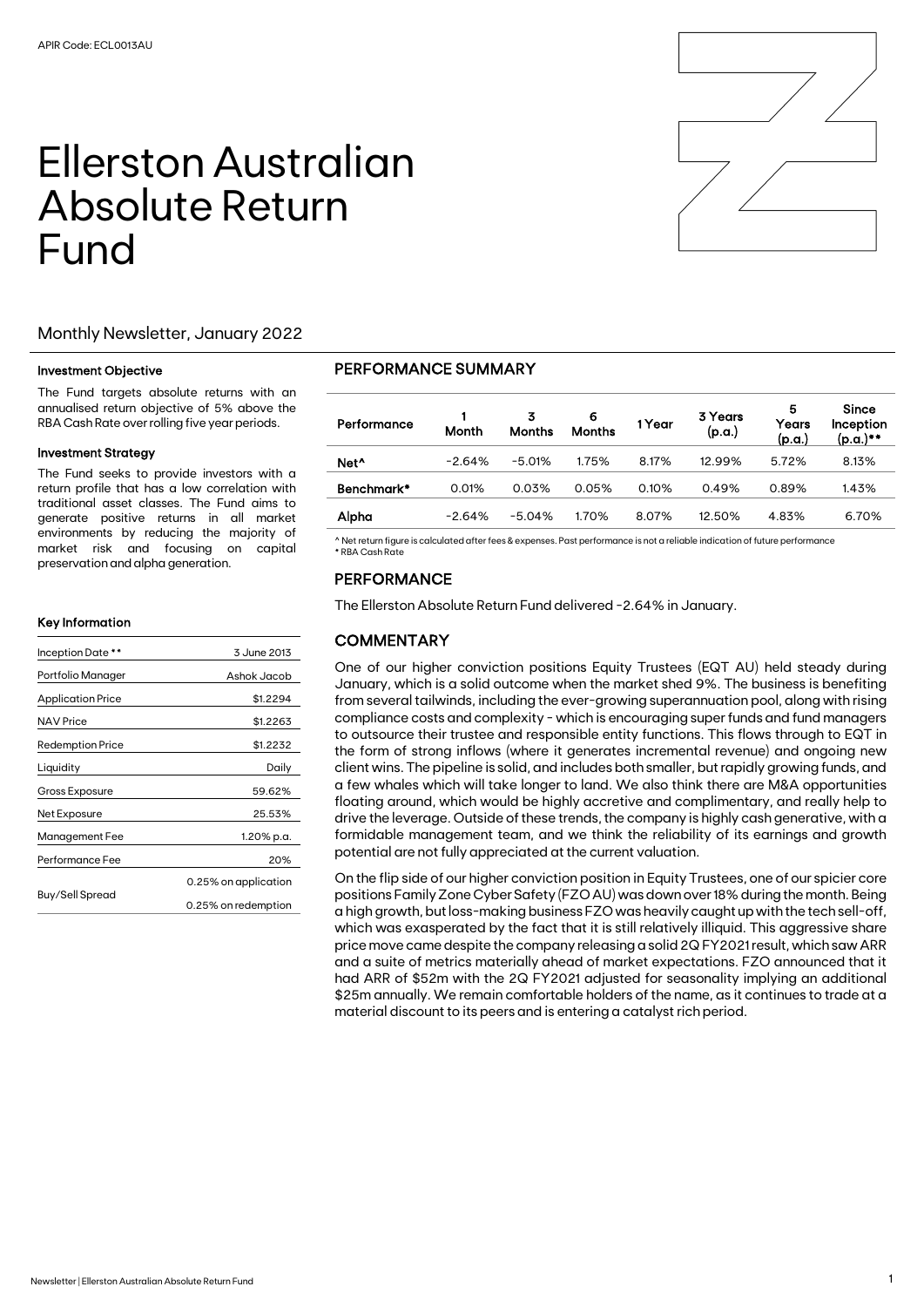# Ellerston Australian Absolute Return Fund



#### Investment Objective

The Fund targets absolute returns with an annualised return objective of 5% above the RBA Cash Rate over rolling five year periods.

#### Investment Strategy

The Fund seeks to provide investors with a return profile that has a low correlation with traditional asset classes. The Fund aims to generate positive returns in all market environments by reducing the majority of market risk and focusing on capital preservation and alpha generation.

#### Key Information

| Inception Date **        | 3 June 2013          |
|--------------------------|----------------------|
| Portfolio Manager        | Ashok Jacob          |
| <b>Application Price</b> | \$1.2294             |
| NAV Price                | \$1.2263             |
| <b>Redemption Price</b>  | \$1.2232             |
| Liquidity                | Daily                |
| Gross Exposure           | 59.62%               |
| Net Exposure             | 25.53%               |
| Management Fee           | 1.20% p.a.           |
| Performance Fee          | 20%                  |
|                          | 0.25% on application |
| Buy/Sell Spread          | 0.25% on redemption  |

### PERFORMANCE SUMMARY

| Performance      | Month    | 3<br><b>Months</b> | 6<br><b>Months</b> | 1 Year | 3 Years<br>(p.a.) | 5<br>Years<br>(p.a.) | <b>Since</b><br>Inception<br>(p.a.)** |
|------------------|----------|--------------------|--------------------|--------|-------------------|----------------------|---------------------------------------|
| Net <sup>^</sup> | $-2.64%$ | $-5.01%$           | 1.75%              | 8.17%  | 12.99%            | 5.72%                | 8.13%                                 |
| Benchmark*       | 0.01%    | 0.03%              | 0.05%              | 0.10%  | 0.49%             | 0.89%                | 1.43%                                 |
| Alpha            | $-2.64%$ | $-5.04%$           | 1.70%              | 8.07%  | 12.50%            | 4.83%                | 6.70%                                 |

^ Net return figure is calculated after fees & expenses. Past performance is not a reliable indication of future performance \* RBA Cash Rate

## PERFORMANCE

The Ellerston Absolute Return Fund delivered -2.64% in January.

## **COMMENTARY**

One of our higher conviction positions Equity Trustees (EQT AU) held steady during January, which is a solid outcome when the market shed 9%. The business is benefiting from several tailwinds, including the ever-growing superannuation pool, along with rising compliance costs and complexity - which is encouraging super funds and fund managers to outsource their trustee and responsible entity functions. This flows through to EQT in the form of strong inflows (where it generates incremental revenue) and ongoing new client wins. The pipeline is solid, and includes both smaller, but rapidly growing funds, and a few whales which will take longer to land. We also think there are M&A opportunities floating around, which would be highly accretive and complimentary, and really help to drive the leverage. Outside of these trends, the company is highly cash generative, with a formidable management team, and we think the reliability of its earnings and growth potential are not fully appreciated at the current valuation.

On the flip side of our higher conviction position in Equity Trustees, one of our spicier core positions Family Zone Cyber Safety (FZO AU) was down over 18% during the month. Being a high growth, but loss-making business FZO was heavily caught up with the tech sell-off, which was exasperated by the fact that it is still relatively illiquid. This aggressive share price move came despite the company releasing a solid 2Q FY2021 result, which saw ARR and a suite of metrics materially ahead of market expectations. FZO announced that it had ARR of \$52m with the 2Q FY2021 adjusted for seasonality implying an additional \$25m annually. We remain comfortable holders of the name, as it continues to trade at a material discount to its peers and is entering a catalyst rich period.